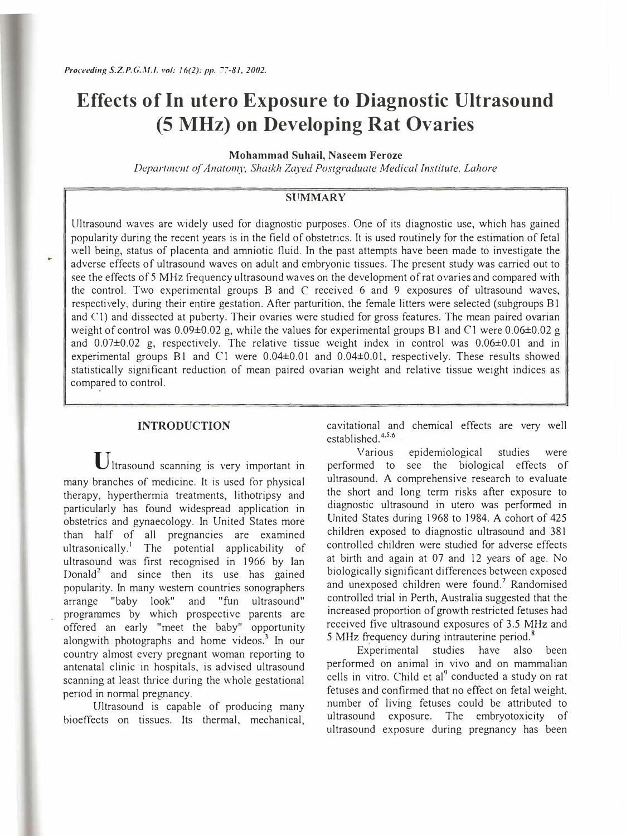# **Effects of In utero Exposure to Diagnostic Ultrasound (5 MHz) on Developing Rat Ovaries**

**Mohammad Suhail, Naseem Feroze** 

Department of Anatomy, Shaikh Zayed Postgraduate Medical Institute, Lahore

#### **SUMMARY**

Ultrasound waves are widely used for diagnostic purposes. One of its diagnostic use, which has gained popularity during the recent years is in the field of obstetrics. It is used routinely for the estimation of fetal well being, status of placenta and amniotic fluid. In the past attempts have been made to investigate the adverse effects of ultrasound waves on adult and embryonic tissues. The present study was carried out to see the effects of 5 MHz frequency ultrasound waves on the development of rat ovaries and compared with the control. Two experimental groups B and C received 6 and 9 exposures of ultrasound waves, respectively, during their entire gestation. After parturition, the female litters were selected (subgroups B 1 and C1) and dissected at puberty. Their ovaries were studied for gross features. The mean paired ovarian weight of control was  $0.09\pm0.02$  g, while the values for experimental groups B1 and C1 were  $0.06\pm0.02$  g and  $0.07\pm0.02$  g, respectively. The relative tissue weight index in control was  $0.06\pm0.01$  and in experimental groups B1 and C1 were  $0.04\pm0.01$  and  $0.04\pm0.01$ , respectively. These results showed statistically significant reduction of mean paired ovarian weight and relative tissue weight indices as compared to control.

#### **INTRODUCTION**

Ultrasound scanning is very important in many branches of medicine. It is used for physical therapy, hyperthermia treatments, lithotripsy and particularly has found widespread application in obstetrics and gynaecology. In United States more than half of all pregnancies are examined ultrasonically.<sup>1</sup> The potential applicability of ultrasound was first recognised in 1966 by Ian Donald $^2$  and since then its use has gained popularity. In many western countries sonographers arrange "baby look" and "fun ultrasound" programmes by which prospective parents are offered an early "meet the baby" opportunity alongwith photographs and home videos.<sup>3</sup> In our country almost every pregnant woman reporting to antenatal clinic in hospitals, is advised ultrasound scanning at least thrice during the whole gestational penod in normal pregnancy.

Ultrasound is capable of producing many bioeffects on tissues. Its thermal, mechanical, cavitational and chemical effects are very well established.<sup>4,5,6</sup>

Various epidemiological studies were performed to see the biological effects of ultrasound. A comprehensive research to evaluate the short and long term risks after exposure to diagnostic ultrasound in utero was performed in United States during 1968 to 1984. A cohort of 425 children exposed to diagnostic ultrasound and 381 controlled children were studied for adverse effects at birth and again at 07 and 12 years of age. No biologically significant differences between exposed and unexposed children were found.<sup>7</sup> Randomised controlled trial in Perth, Australia suggested that the increased proportion of growth restricted fetuses had received five ultrasound exposures of 3.5 MHz and 5 MHz frequency during intrauterine period.<sup>8</sup>

Experimental studies have also been performed on animal in vivo and on mammalian cells in vitro. Child et al<sup>9</sup> conducted a study on rat fetuses and confirmed that no effect on fetal weight. number of living fetuses could be attributed to ultrasound exposure. The embryotoxicity of ultrasound exposure during pregnancy has been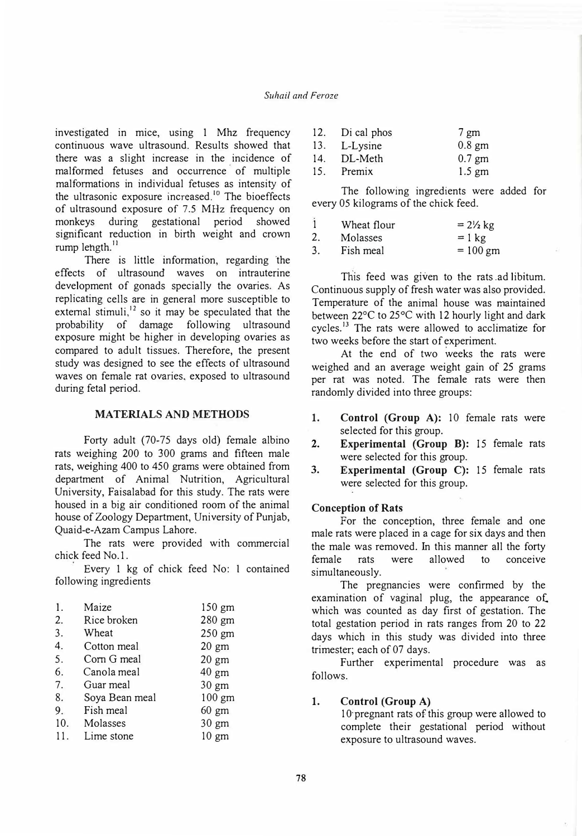# *Suhail and Feroze*

investigated in mice, using 1 Mhz frequency continuous wave ultrasound. Results showed that there was a slight increase in the incidence of malformed fetuses and occurrence of multiple malformations in individual fetuses as intensity of the ultrasonic exposure increased.<sup>10</sup> The bioeffects of ultrasound exposure of 7.5 MHz frequency on monkeys during gestational period showed significant reduction in birth weight and crown rump length.<sup>11</sup>

There is little information, regarding 'the effects of ultrasound waves on intrauterine development of gonads specially the ovaries. As replicating cells are in general more susceptible to external stimuli,<sup>12</sup> so it may be speculated that the probability of damage following ultrasound exposure might be higher in developing ovaries as compared to adult tissues. Therefore, the present study was designed to see the effects of ultrasound waves on female rat ovaries. exposed to ultrasound during fetal period.

# **MATERIALS ANQ METHODS**

Forty adult (70-75 days old) female albino rats weighing 200 to 300 grams and fifteen male rats, weighing 400 to 450 grams were obtained from department of Animal Nutrition, Agricultural University, Faisalabad for this study. The rats were housed in a big air conditioned room of the animal house of Zoology Department, University of Punjab, Quaid-e-Azam Campus Lahore.

The rats were provided with commercial chick feed No. 1.

Every 1 kg of chick feed No: I contained following ingredients

| 1.  | Maize          | $150 \text{ gm}$ |
|-----|----------------|------------------|
| 2.  | Rice broken    | 280 gm           |
| 3.  | Wheat          | $250$ gm         |
| 4.  | Cotton meal    | $20 \text{ gm}$  |
| 5.  | Corn G meal    | $20 \text{ gm}$  |
| 6.  | Canola meal    | $40 \text{ gm}$  |
| 7.  | Guar meal      | 30 gm            |
| 8.  | Soya Bean meal | $100 \text{ gm}$ |
| 9.  | Fish meal      | $60 \text{ gm}$  |
| 10. | Molasses       | 30 gm            |
| 11. | Lime stone     | $10 \text{ gm}$  |
|     |                |                  |

| 12. | Di cal phos  | $7 \text{ gm}$ |
|-----|--------------|----------------|
|     | 13. L-Lysine | $0.8$ gm       |
| 14. | DL-Meth      | $0.7$ gm       |
| 15. | Premix       | $1.5$ gm       |

The following ingredients were added for every 05 kilograms of the chick feed.

|  | Wheat flour | $= 2\frac{1}{2}$ kg |
|--|-------------|---------------------|
|--|-------------|---------------------|

2. Molasses  $=1 \text{ kg}$ 

3. Fish meal **<sup>=</sup>**100 gm

This feed was given to the rats. ad libitum. Continuous supply of fresh water was also provided. Temperature of the animal house was maintained between 22°C to 25°C with 12 hourly light and dark cycles.<sup>13</sup> The rats were allowed to acclimatize for two weeks before the start of experiment.

At the end of two weeks the rats were weighed and an average weight gain of 25 grams per rat was noted. The female rats were then randomly divided into three groups:

- **1. Control (Group A):** 10 female rats were selected for this group.
- 2. **Experimental (Group B):** 15 female rats were selected for this group.
- 3. **Experimental (Group C):** 15 female rats were selected for this group.

## **Conception of Rats**

For the conception, three female and one male rats were placed in a cage for six days and then the male was removed. In this manner all the forty<br>female rats were allowed to conceive female rats were allowed to conceive simultaneously.

The pregnancies were confirmed by the examination of vaginal plug, the appearance of which was counted as day first of gestation. The total gestation period in rats ranges from 20 to 22 days which in this study was divided into three trimester; each of 07 days.

Further experimental procedure was as follows.

# **1. Control (Group A)**

10 pregnant rats of this group were allowed to complete their gestational period without exposure to ultrasound waves.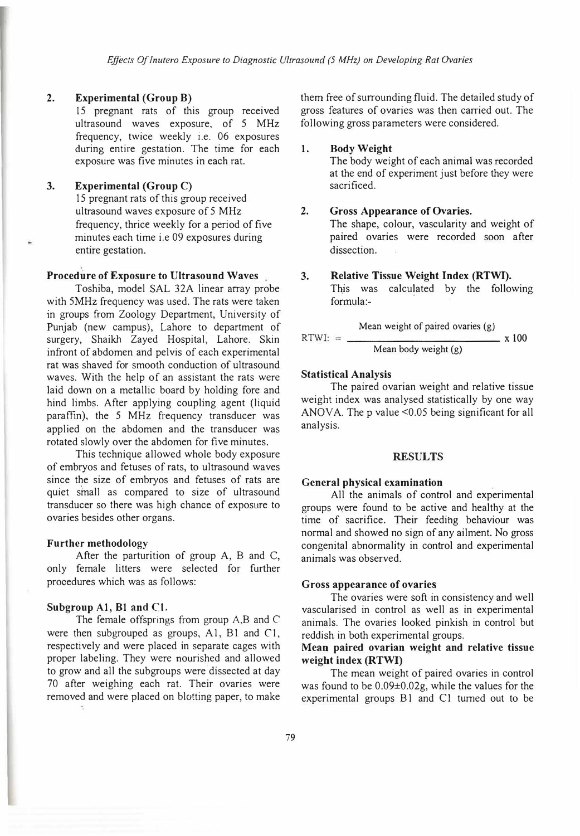#### 2. **Experimental (Group B)**

15 pregnant rats of this group received ultrasound waves exposure, of 5 MHz frequency, twice weekly i.e. 06 exposures during entire gestation. The time for each exposure was five minutes in each rat.

#### **3. Experimental (Group C)**

15 pregnant rats of this group received ultrasound waves exposure of 5 MHz frequency, thrice weekly for a period of five minutes each time i.e 09 exposures during entire gestation.

## **Procedure of Exposure to Ultrasound Waves**

Toshiba, model SAL 32A linear array probe with 5MHz frequency was used. The rats were taken in groups from Zoology Department, University of Punjab (new campus), Lahore to department of surgery, Shaikh Zayed Hospital, Lahore. Skin infront of abdomen and pelvis of each experimental rat was shaved for smooth conduction of ultrasound waves. With the help of an assistant the rats were laid down on a metallic board by holding fore and hind limbs. After applying coupling agent (liquid paraffin), the 5 MHz frequency transducer was applied on the abdomen and the transducer was rotated slowly over the abdomen for five minutes.

This technique allowed whole body exposure of embryos and fetuses of rats, to ultrasound waves since the size of embryos and fetuses of rats are quiet small as compared to size of ultrasound transducer so there was high chance of exposure to ovaries besides other organs.

#### **Further methodology**

After the parturition of group A, B and C, only female litters were selected for further procedures which was as follows:

# **Subgroup Al, Bl and Cl.**

The female offsprings from group A,B and C were then subgrouped as groups,  $A1$ ,  $B1$  and  $C1$ , respectively and were placed in separate cages with proper labeling. They were nourished and allowed to grow and all the subgroups were dissected at day 70 after weighing each rat. Their ovaries were removed and were placed on blotting paper, to make them free of surrounding fluid. The detailed study of gross features of ovaries was then carried out. The following gross parameters were considered.

# **1. Body Weight**

The body weight of each animal was recorded at the end of experiment just before they were sacrificed.

## 2. **Gross Appearance of Ovaries.**

The shape, colour, vascularity and weight of paired ovaries were recorded soon after dissection.

#### **3. Relative Tissue Weight Index (RTWI).**

This was calculated by the following formula:-

Mean weight of paired ovaries (g)  $RTWI: =$  $- x 100$ Mean body weight (g)

## **Statistical Analysis**

The paired ovarian weight and relative tissue weight index was analysed statistically by one way ANOVA. The p value  $\leq 0.05$  being significant for all analysis.

#### **RESULTS**

## **General physical examination**

All the animals of control and experimental groups were found to be active and healthy at the time of sacrifice. Their feedihg behaviour was normal and showed no sign of any ailment. No gross congenital abnormality in control and experimental animals was observed.

#### **Gross appearance of ovaries**

The ovaries were soft in consistency and well vascularised in control as well as in experimental animals. The ovaries looked pinkish in control but reddish in both experimental groups.

# **Mean paired ovarian weight and relative tissue weight index (RTWI)**

The mean weight of paired ovaries in control was found to be 0.09±0.02g, while the values for the experimental groups BI and Cl turned out to be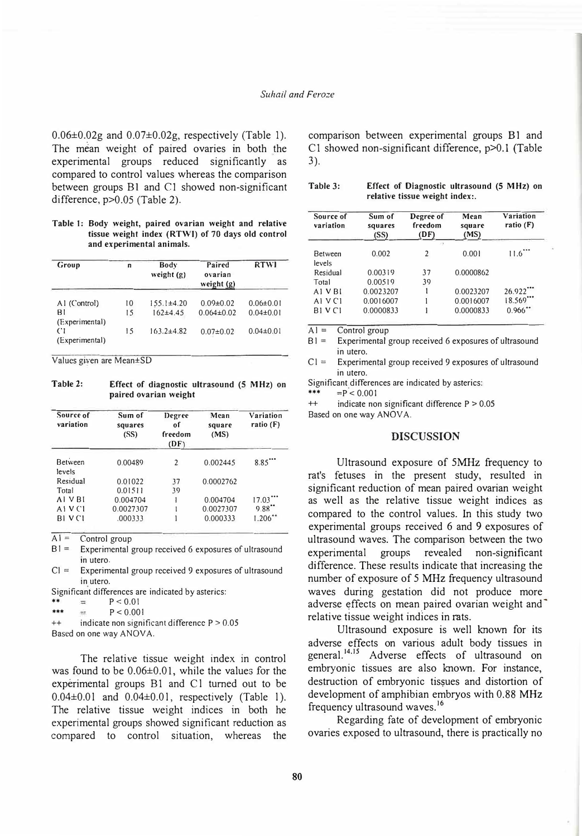$0.06\pm0.02$ g and  $0.07\pm0.02$ g, respectively (Table 1). The mean weight of paired ovaries in both the experimental groups reduced significantly as compared to control values whereas the comparison between groups Bl and Cl showed non-significant difference, p>0.05 (Table 2).

Table I: Body weight, paired ovarian weight and relative tissue weight index (RTWI) of 70 days old control and experimental animals.

| Group                      | n  | Body<br>weight $(g)$ | Paired<br>ovarian<br>weight (g) | <b>RTWI</b>     |
|----------------------------|----|----------------------|---------------------------------|-----------------|
| A1 (Control)               | 10 | $155.1 \pm 4.20$     | $0.09 \pm 0.02$                 | $0.06 \pm 0.01$ |
| R1<br>(Experimental)       | 15 | $162\pm4.45$         | $0.064\pm0.02$                  | $0.04 \pm 0.01$ |
| $\Gamma$<br>(Experimental) | 15 | $163.2 \pm 4.82$     | $0.07 \pm 0.02$                 | $0.04 \pm 0.01$ |

Values given are Mean±SD

Table 2: Effect of diagnostic ultrasound (5 MHz) on paired ovarian weight

| Source of<br>variation | Sum of<br>squares<br>(SS) | Degree<br>οf<br>freedom<br>(DF) | Mean<br>square<br>(MS) | Variation<br>ratio $(F)$ |
|------------------------|---------------------------|---------------------------------|------------------------|--------------------------|
| Between<br>levels      | 0.00489                   | $\overline{2}$                  | 0.002445               | 8.85                     |
| Residual               | 0.01022                   | 37                              | 0.0002762              |                          |
| Total                  | 0.01511                   | 39                              |                        |                          |
| AI V BI                | 0.004704                  |                                 | 0.004704               | 17.03                    |
| AYVI                   | 0.0027307                 |                                 | 0.0027307              | 9.88                     |
| BI VCl                 | .000333                   |                                 | 0.000333               | $1.206^{+4}$             |

 $Al =$  Control group

 $B1 =$  Experimental group received 6 exposures of ultrasound in utero .

 $Cl =$  Experimental group received 9 exposures of ultrasound in utero.

Significant differences are indicated by asterics:

\*\*  $=$  P < 0.01

\*\*\*  $=$  P < 0.001

++ indicate non significant difference P > 0.05 Based on one way ANOVA.

The relative tissue weight index in control was found to be 0.06±0.01, while the values for the experimental groups B1 and C1 turned out to be  $0.04 \pm 0.01$  and  $0.04 \pm 0.01$ , respectively (Table 1). The relative tissue weight indices in both he experimental groups showed significant reduction as compared to control situation, whereas the comparison between experimental groups B1 and C1 showed non-significant difference,  $p>0.1$  (Table 3).

| Table 3: | Effect of Diagnostic ultrasound (5 MHz) on |  |
|----------|--------------------------------------------|--|
|          | relative tissue weight index:              |  |

| Source of<br>variation | Sum of<br>squares<br>(SS) | Degree of<br>freedom<br>(DF) | Mean<br>square<br>(MS) | Variation<br>ratio $(F)$ |
|------------------------|---------------------------|------------------------------|------------------------|--------------------------|
|                        |                           | $\sqrt{2}$                   |                        |                          |
| <b>Between</b>         | 0.002                     | $\overline{c}$               | 0.001                  | 11.6                     |
| levels                 |                           |                              |                        |                          |
| Residual               | 0.00319                   | 37                           | 0.0000862              |                          |
| Total                  | 0.00519                   | 39                           |                        |                          |
| AI V BI                | 0.0023207                 |                              | 0.0023207              | 26.922                   |
| AIVC1                  | 0.0016007                 |                              | 0.0016007              | 18.569**                 |
| B1VC1                  | 0.0000833                 |                              | 0.0000833              | $0.966$ <sup>**</sup>    |

 $Al =$  Control group

B1 = Experimental group received 6 exposures of ultrasound in utero.

 $Cl =$  Experimental group received 9 exposures of ultrasound in utero.

Significant differences are indicated by asterics:

 $= P < 0.001$ 

++ indicate non significant difference P > 0.05 Based on one way ANOVA.

#### DISCUSSION

Ultrasound exposure of 5MHz frequency to rat's fetuses in the present study, resulted in significant reduction of mean paired ovarian weight as well as the relative tissue weight indices as compared to the control values. In this study two experimental groups received 6 and 9 exposures of ultrasound waves. The comparison between the two experimental groups revealed non-significant difference. These results indicate that increasing the number of exposure of 5 MHz frequency ultrasound waves during gestation did not produce more adverse effects on mean paired ovarian weight and relative tissue weight indices in rats.

Ultrasound exposure is well known for its adverse effects on various adult body tissues in general.<sup>14,15</sup> Adverse effects of ultrasound on embryonic tissues are also known. For instance, destruction of embryonic tissues and distortion of development of amphibian embryos with 0.88 MHz frequency ultrasound waves.<sup>16</sup>

Regarding fate of development of embryonic ovaries exposed to ultrasound, there is practically no